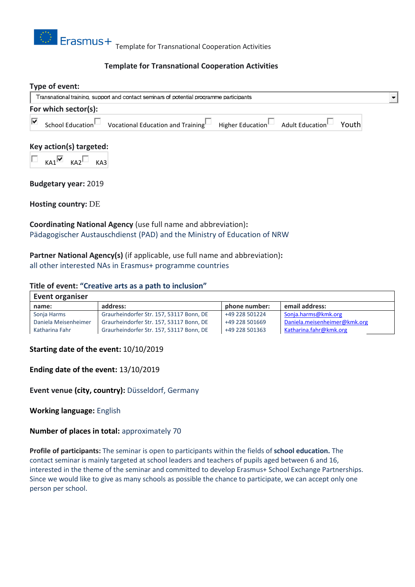

# **Template for Transnational Cooperation Activities**

# **Type of event:** Transnational training, support and contact seminars of potential programme participants **For which sector(s):** ⊽ School Education Vocational Education and Training Higher Education Adult Education Youth

### **Key action(s) targeted:**

 $KAI$   $KAI$   $KAI$ 

**Budgetary year:** 2019

**Hosting country:** DE

**Coordinating National Agency** (use full name and abbreviation)**:** Pädagogischer Austauschdienst (PAD) and the Ministry of Education of NRW

**Partner National Agency(s)** (if applicable, use full name and abbreviation)**:** all other interested NAs in Erasmus+ programme countries

#### **Title of event: "Creative arts as a path to inclusion"**

| <b>Event organiser</b> |                                          |                |                              |
|------------------------|------------------------------------------|----------------|------------------------------|
| name:                  | address:                                 | phone number:  | email address:               |
| Sonja Harms            | Graurheindorfer Str. 157, 53117 Bonn, DE | +49 228 501224 | Sonja.harms@kmk.org          |
| Daniela Meisenheimer   | Graurheindorfer Str. 157, 53117 Bonn, DE | +49 228 501669 | Daniela.meisenheimer@kmk.org |
| Katharina Fahr         | Graurheindorfer Str. 157, 53117 Bonn, DE | +49 228 501363 | Katharina.fahr@kmk.org       |

#### **Starting date of the event:** 10/10/2019

#### **Ending date of the event:** 13/10/2019

**Event venue (city, country):** Düsseldorf, Germany

**Working language:** English

### **Number of places in total:** approximately 70

**Profile of participants:** The seminar is open to participants within the fields of **school education.** The contact seminar is mainly targeted at school leaders and teachers of pupils aged between 6 and 16, interested in the theme of the seminar and committed to develop Erasmus+ School Exchange Partnerships. Since we would like to give as many schools as possible the chance to participate, we can accept only one person per school.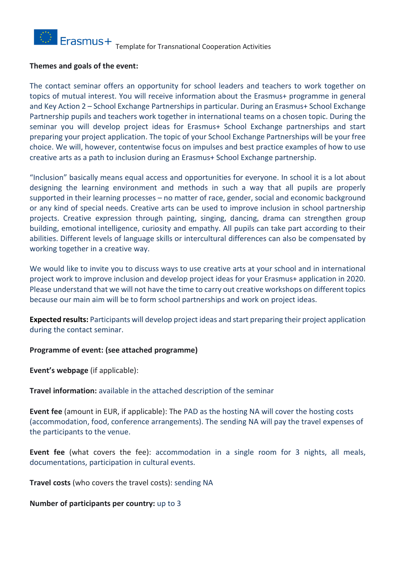

### **Themes and goals of the event:**

The contact seminar offers an opportunity for school leaders and teachers to work together on topics of mutual interest. You will receive information about the Erasmus+ programme in general and Key Action 2 – School Exchange Partnerships in particular. During an Erasmus+ School Exchange Partnership pupils and teachers work together in international teams on a chosen topic. During the seminar you will develop project ideas for Erasmus+ School Exchange partnerships and start preparing your project application. The topic of your School Exchange Partnerships will be your free choice. We will, however, contentwise focus on impulses and best practice examples of how to use creative arts as a path to inclusion during an Erasmus+ School Exchange partnership.

"Inclusion" basically means equal access and opportunities for everyone. In school it is a lot about designing the learning environment and methods in such a way that all pupils are properly supported in their learning processes – no matter of race, gender, social and economic background or any kind of special needs. Creative arts can be used to improve inclusion in school partnership projects. Creative expression through painting, singing, dancing, drama can strengthen group building, emotional intelligence, curiosity and empathy. All pupils can take part according to their abilities. Different levels of language skills or intercultural differences can also be compensated by working together in a creative way.

We would like to invite you to discuss ways to use creative arts at your school and in international project work to improve inclusion and develop project ideas for your Erasmus+ application in 2020. Please understand that we will not have the time to carry out creative workshops on different topics because our main aim will be to form school partnerships and work on project ideas.

**Expected results:** Participants will develop project ideas and start preparing their project application during the contact seminar.

### **Programme of event: (see attached programme)**

**Event's webpage** (if applicable):

**Travel information:** available in the attached description of the seminar

**Event fee** (amount in EUR, if applicable): The PAD as the hosting NA will cover the hosting costs (accommodation, food, conference arrangements). The sending NA will pay the travel expenses of the participants to the venue.

**Event fee** (what covers the fee): accommodation in a single room for 3 nights, all meals, documentations, participation in cultural events.

**Travel costs** (who covers the travel costs): sending NA

### **Number of participants per country:** up to 3